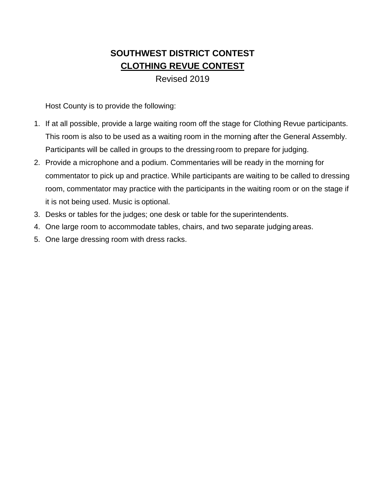## **SOUTHWEST DISTRICT CONTEST CLOTHING REVUE CONTEST**

### Revised 2019

Host County is to provide the following:

- 1. If at all possible, provide a large waiting room off the stage for Clothing Revue participants. This room is also to be used as a waiting room in the morning after the General Assembly. Participants will be called in groups to the dressing room to prepare for judging.
- 2. Provide a microphone and a podium. Commentaries will be ready in the morning for commentator to pick up and practice. While participants are waiting to be called to dressing room, commentator may practice with the participants in the waiting room or on the stage if it is not being used. Music is optional.
- 3. Desks or tables for the judges; one desk or table for the superintendents.
- 4. One large room to accommodate tables, chairs, and two separate judging areas.
- 5. One large dressing room with dress racks.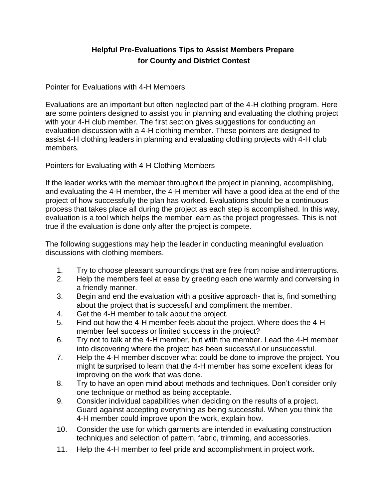### **Helpful Pre-Evaluations Tips to Assist Members Prepare for County and District Contest**

Pointer for Evaluations with 4-H Members

Evaluations are an important but often neglected part of the 4-H clothing program. Here are some pointers designed to assist you in planning and evaluating the clothing project with your 4-H club member. The first section gives suggestions for conducting an evaluation discussion with a 4-H clothing member. These pointers are designed to assist 4-H clothing leaders in planning and evaluating clothing projects with 4-H club members.

Pointers for Evaluating with 4-H Clothing Members

If the leader works with the member throughout the project in planning, accomplishing, and evaluating the 4-H member, the 4-H member will have a good idea at the end of the project of how successfully the plan has worked. Evaluations should be a continuous process that takes place all during the project as each step is accomplished. In this way, evaluation is a tool which helps the member learn as the project progresses. This is not true if the evaluation is done only after the project is compete.

The following suggestions may help the leader in conducting meaningful evaluation discussions with clothing members.

- 1. Try to choose pleasant surroundings that are free from noise and interruptions.
- 2. Help the members feel at ease by greeting each one warmly and conversing in a friendly manner.
- 3. Begin and end the evaluation with a positive approach- that is, find something about the project that is successful and compliment the member.
- 4. Get the 4-H member to talk about the project.
- 5. Find out how the 4-H member feels about the project. Where does the 4-H member feel success or limited success in the project?
- 6. Try not to talk at the 4-H member, but with the member. Lead the 4-H member into discovering where the project has been successful or unsuccessful.
- 7. Help the 4-H member discover what could be done to improve the project. You might besurprised to learn that the 4-H member has some excellent ideas for improving on the work that was done.
- 8. Try to have an open mind about methods and techniques. Don't consider only one technique or method as being acceptable.
- 9. Consider individual capabilities when deciding on the results of a project. Guard against accepting everything as being successful. When you think the 4-H member could improve upon the work, explain how.
- 10. Consider the use for which garments are intended in evaluating construction techniques and selection of pattern, fabric, trimming, and accessories.
- 11. Help the 4-H member to feel pride and accomplishment in project work.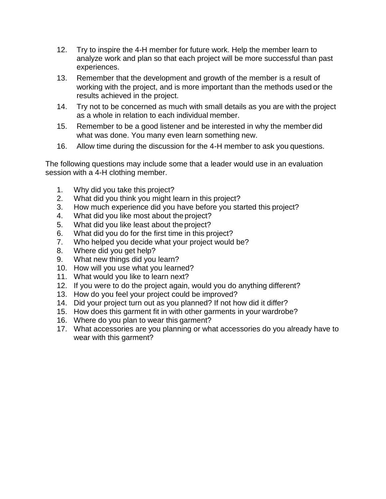- 12. Try to inspire the 4-H member for future work. Help the member learn to analyze work and plan so that each project will be more successful than past experiences.
- 13. Remember that the development and growth of the member is a result of working with the project, and is more important than the methods used or the results achieved in the project.
- 14. Try not to be concerned as much with small details as you are with the project as a whole in relation to each individual member.
- 15. Remember to be a good listener and be interested in why the member did what was done. You many even learn something new.
- 16. Allow time during the discussion for the 4-H member to ask you questions.

The following questions may include some that a leader would use in an evaluation session with a 4-H clothing member.

- 1. Why did you take this project?
- 2. What did you think you might learn in this project?
- 3. How much experience did you have before you started this project?
- 4. What did you like most about the project?
- 5. What did you like least about the project?
- 6. What did you do for the first time in this project?
- 7. Who helped you decide what your project would be?
- 8. Where did you get help?
- 9. What new things did you learn?
- 10. How will you use what you learned?
- 11. What would you like to learn next?
- 12. If you were to do the project again, would you do anything different?
- 13. How do you feel your project could be improved?
- 14. Did your project turn out as you planned? If not how did it differ?
- 15. How does this garment fit in with other garments in your wardrobe?
- 16. Where do you plan to wear this garment?
- 17. What accessories are you planning or what accessories do you already have to wear with this garment?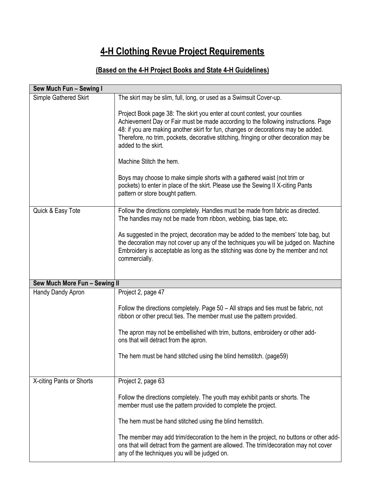# **4-H Clothing Revue Project Requirements**

### **(Based on the 4-H Project Books and State 4-H Guidelines)**

| Sew Much Fun - Sewing I       |                                                                                                                                                                                                                                                                                                                                                                       |
|-------------------------------|-----------------------------------------------------------------------------------------------------------------------------------------------------------------------------------------------------------------------------------------------------------------------------------------------------------------------------------------------------------------------|
| Simple Gathered Skirt         | The skirt may be slim, full, long, or used as a Swimsuit Cover-up.                                                                                                                                                                                                                                                                                                    |
|                               | Project Book page 38: The skirt you enter at count contest, your counties<br>Achievement Day or Fair must be made according to the following instructions. Page<br>48: if you are making another skirt for fun, changes or decorations may be added.<br>Therefore, no trim, pockets, decorative stitching, fringing or other decoration may be<br>added to the skirt. |
|                               | Machine Stitch the hem.                                                                                                                                                                                                                                                                                                                                               |
|                               | Boys may choose to make simple shorts with a gathered waist (not trim or<br>pockets) to enter in place of the skirt. Please use the Sewing II X-citing Pants<br>pattern or store bought pattern.                                                                                                                                                                      |
| Quick & Easy Tote             | Follow the directions completely. Handles must be made from fabric as directed.<br>The handles may not be made from ribbon, webbing, bias tape, etc.                                                                                                                                                                                                                  |
|                               | As suggested in the project, decoration may be added to the members' tote bag, but<br>the decoration may not cover up any of the techniques you will be judged on. Machine<br>Embroidery is acceptable as long as the stitching was done by the member and not<br>commercially.                                                                                       |
| Sew Much More Fun - Sewing II |                                                                                                                                                                                                                                                                                                                                                                       |
| Handy Dandy Apron             | Project 2, page 47                                                                                                                                                                                                                                                                                                                                                    |
|                               | Follow the directions completely. Page 50 – All straps and ties must be fabric, not<br>ribbon or other precut ties. The member must use the pattern provided.                                                                                                                                                                                                         |
|                               | The apron may not be embellished with trim, buttons, embroidery or other add-<br>ons that will detract from the apron.                                                                                                                                                                                                                                                |
|                               | The hem must be hand stitched using the blind hemstitch. (page59)                                                                                                                                                                                                                                                                                                     |
| X-citing Pants or Shorts      | Project 2, page 63                                                                                                                                                                                                                                                                                                                                                    |
|                               | Follow the directions completely. The youth may exhibit pants or shorts. The<br>member must use the pattern provided to complete the project.                                                                                                                                                                                                                         |
|                               | The hem must be hand stitched using the blind hemstitch.                                                                                                                                                                                                                                                                                                              |
|                               | The member may add trim/decoration to the hem in the project, no buttons or other add-<br>ons that will detract from the garment are allowed. The trim/decoration may not cover<br>any of the techniques you will be judged on.                                                                                                                                       |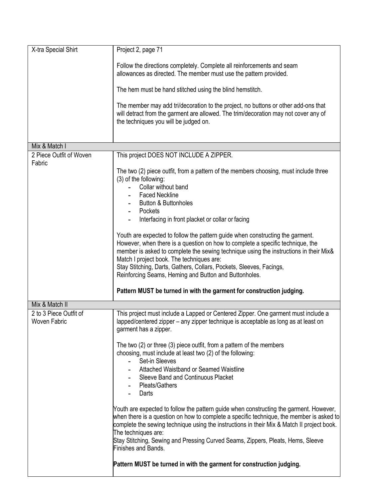| X-tra Special Shirt                           | Project 2, page 71                                                                                                                                                                                                                                                                                                                                                                                                                    |
|-----------------------------------------------|---------------------------------------------------------------------------------------------------------------------------------------------------------------------------------------------------------------------------------------------------------------------------------------------------------------------------------------------------------------------------------------------------------------------------------------|
|                                               | Follow the directions completely. Complete all reinforcements and seam<br>allowances as directed. The member must use the pattern provided.                                                                                                                                                                                                                                                                                           |
|                                               | The hem must be hand stitched using the blind hemstitch.                                                                                                                                                                                                                                                                                                                                                                              |
|                                               | The member may add tri/decoration to the project, no buttons or other add-ons that<br>will detract from the garment are allowed. The trim/decoration may not cover any of<br>the techniques you will be judged on.                                                                                                                                                                                                                    |
| Mix & Match I                                 |                                                                                                                                                                                                                                                                                                                                                                                                                                       |
| 2 Piece Outfit of Woven<br>Fabric             | This project DOES NOT INCLUDE A ZIPPER.                                                                                                                                                                                                                                                                                                                                                                                               |
|                                               | The two (2) piece outfit, from a pattern of the members choosing, must include three<br>(3) of the following:<br>Collar without band<br><b>Faced Neckline</b><br><b>Button &amp; Buttonholes</b>                                                                                                                                                                                                                                      |
|                                               | Pockets                                                                                                                                                                                                                                                                                                                                                                                                                               |
|                                               | Interfacing in front placket or collar or facing                                                                                                                                                                                                                                                                                                                                                                                      |
|                                               | Youth are expected to follow the pattern guide when constructing the garment.<br>However, when there is a question on how to complete a specific technique, the<br>member is asked to complete the sewing technique using the instructions in their Mix&<br>Match I project book. The techniques are:<br>Stay Stitching, Darts, Gathers, Collars, Pockets, Sleeves, Facings,<br>Reinforcing Seams, Heming and Button and Buttonholes. |
|                                               | Pattern MUST be turned in with the garment for construction judging.                                                                                                                                                                                                                                                                                                                                                                  |
| Mix & Match II                                |                                                                                                                                                                                                                                                                                                                                                                                                                                       |
| 2 to 3 Piece Outfit of<br><b>Woven Fabric</b> | This project must include a Lapped or Centered Zipper. One garment must include a<br>lapped/centered zipper - any zipper technique is acceptable as long as at least on<br>garment has a zipper.                                                                                                                                                                                                                                      |
|                                               | The two (2) or three (3) piece outfit, from a pattern of the members<br>choosing, must include at least two (2) of the following:<br>Set-in Sleeves<br>$\omega_{\rm{max}}$                                                                                                                                                                                                                                                            |
|                                               | Attached Waistband or Seamed Waistline<br>Sleeve Band and Continuous Placket<br>- Pleats/Gathers<br>Darts                                                                                                                                                                                                                                                                                                                             |
|                                               | Youth are expected to follow the pattern guide when constructing the garment. However,<br>when there is a question on how to complete a specific technique, the member is asked to<br>complete the sewing technique using the instructions in their Mix & Match II project book.<br>The techniques are:                                                                                                                               |
|                                               | Stay Stitching, Sewing and Pressing Curved Seams, Zippers, Pleats, Hems, Sleeve<br>Finishes and Bands.                                                                                                                                                                                                                                                                                                                                |
|                                               | Pattern MUST be turned in with the garment for construction judging.                                                                                                                                                                                                                                                                                                                                                                  |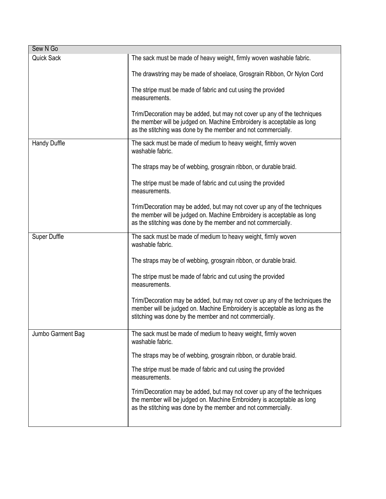| Sew N Go          |                                                                                                                                                                                                                     |
|-------------------|---------------------------------------------------------------------------------------------------------------------------------------------------------------------------------------------------------------------|
| <b>Quick Sack</b> | The sack must be made of heavy weight, firmly woven washable fabric.                                                                                                                                                |
|                   | The drawstring may be made of shoelace, Grosgrain Ribbon, Or Nylon Cord                                                                                                                                             |
|                   | The stripe must be made of fabric and cut using the provided<br>measurements.                                                                                                                                       |
|                   | Trim/Decoration may be added, but may not cover up any of the techniques<br>the member will be judged on. Machine Embroidery is acceptable as long<br>as the stitching was done by the member and not commercially. |
| Handy Duffle      | The sack must be made of medium to heavy weight, firmly woven<br>washable fabric.                                                                                                                                   |
|                   | The straps may be of webbing, grosgrain ribbon, or durable braid.                                                                                                                                                   |
|                   | The stripe must be made of fabric and cut using the provided<br>measurements.                                                                                                                                       |
|                   | Trim/Decoration may be added, but may not cover up any of the techniques<br>the member will be judged on. Machine Embroidery is acceptable as long<br>as the stitching was done by the member and not commercially. |
| Super Duffle      | The sack must be made of medium to heavy weight, firmly woven<br>washable fabric.                                                                                                                                   |
|                   | The straps may be of webbing, grosgrain ribbon, or durable braid.                                                                                                                                                   |
|                   | The stripe must be made of fabric and cut using the provided<br>measurements.                                                                                                                                       |
|                   | Trim/Decoration may be added, but may not cover up any of the techniques the<br>member will be judged on. Machine Embroidery is acceptable as long as the<br>stitching was done by the member and not commercially. |
| Jumbo Garment Bag | The sack must be made of medium to heavy weight, firmly woven<br>washable fabric.                                                                                                                                   |
|                   | The straps may be of webbing, grosgrain ribbon, or durable braid.                                                                                                                                                   |
|                   | The stripe must be made of fabric and cut using the provided<br>measurements.                                                                                                                                       |
|                   | Trim/Decoration may be added, but may not cover up any of the techniques<br>the member will be judged on. Machine Embroidery is acceptable as long<br>as the stitching was done by the member and not commercially. |
|                   |                                                                                                                                                                                                                     |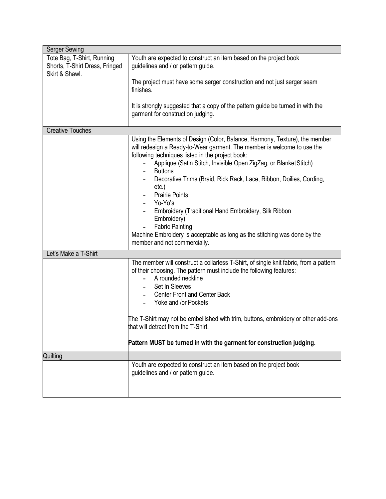| <b>Serger Sewing</b>                                                           |                                                                                                                                                                                                                                                                                                                                                                                                                                                                                                                                                                                                                                     |  |  |
|--------------------------------------------------------------------------------|-------------------------------------------------------------------------------------------------------------------------------------------------------------------------------------------------------------------------------------------------------------------------------------------------------------------------------------------------------------------------------------------------------------------------------------------------------------------------------------------------------------------------------------------------------------------------------------------------------------------------------------|--|--|
| Tote Bag, T-Shirt, Running<br>Shorts, T-Shirt Dress, Fringed<br>Skirt & Shawl. | Youth are expected to construct an item based on the project book<br>guidelines and / or pattern guide.                                                                                                                                                                                                                                                                                                                                                                                                                                                                                                                             |  |  |
|                                                                                | The project must have some serger construction and not just serger seam<br>finishes.                                                                                                                                                                                                                                                                                                                                                                                                                                                                                                                                                |  |  |
|                                                                                | It is strongly suggested that a copy of the pattern guide be turned in with the<br>garment for construction judging.                                                                                                                                                                                                                                                                                                                                                                                                                                                                                                                |  |  |
| <b>Creative Touches</b>                                                        |                                                                                                                                                                                                                                                                                                                                                                                                                                                                                                                                                                                                                                     |  |  |
|                                                                                | Using the Elements of Design (Color, Balance, Harmony, Texture), the member<br>will redesign a Ready-to-Wear garment. The member is welcome to use the<br>following techniques listed in the project book:<br>Applique (Satin Stitch, Invisible Open ZigZag, or Blanket Stitch)<br><b>Buttons</b><br>Decorative Trims (Braid, Rick Rack, Lace, Ribbon, Doilies, Cording,<br>etc.)<br><b>Prairie Points</b><br>Yo-Yo's<br>Embroidery (Traditional Hand Embroidery, Silk Ribbon<br>Embroidery)<br><b>Fabric Painting</b><br>Machine Embroidery is acceptable as long as the stitching was done by the<br>member and not commercially. |  |  |
| Let's Make a T-Shirt                                                           |                                                                                                                                                                                                                                                                                                                                                                                                                                                                                                                                                                                                                                     |  |  |
|                                                                                | The member will construct a collarless T-Shirt, of single knit fabric, from a pattern<br>of their choosing. The pattern must include the following features:<br>A rounded neckline<br>Set In Sleeves<br><b>Center Front and Center Back</b><br>Yoke and /or Pockets                                                                                                                                                                                                                                                                                                                                                                 |  |  |
|                                                                                | The T-Shirt may not be embellished with trim, buttons, embroidery or other add-ons<br>that will detract from the T-Shirt.                                                                                                                                                                                                                                                                                                                                                                                                                                                                                                           |  |  |
|                                                                                | Pattern MUST be turned in with the garment for construction judging.                                                                                                                                                                                                                                                                                                                                                                                                                                                                                                                                                                |  |  |
| Quilting                                                                       |                                                                                                                                                                                                                                                                                                                                                                                                                                                                                                                                                                                                                                     |  |  |
|                                                                                | Youth are expected to construct an item based on the project book<br>guidelines and / or pattern guide.                                                                                                                                                                                                                                                                                                                                                                                                                                                                                                                             |  |  |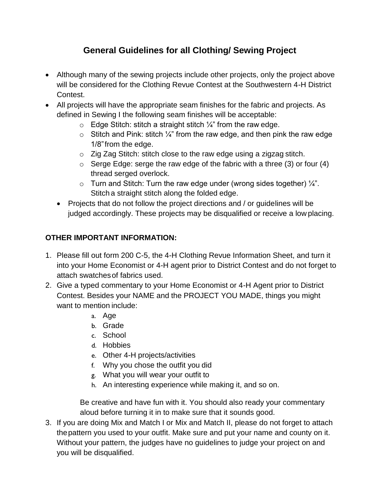### **General Guidelines for all Clothing/ Sewing Project**

- Although many of the sewing projects include other projects, only the project above will be considered for the Clothing Revue Contest at the Southwestern 4-H District Contest.
- All projects will have the appropriate seam finishes for the fabric and projects. As defined in Sewing I the following seam finishes will be acceptable:
	- $\circ$  Edge Stitch: stitch a straight stitch  $\frac{1}{4}$ " from the raw edge.
	- $\circ$  Stitch and Pink: stitch  $\frac{1}{4}$ " from the raw edge, and then pink the raw edge 1/8"from the edge.
	- o Zig Zag Stitch: stitch close to the raw edge using a zigzag stitch.
	- $\circ$  Serge Edge: serge the raw edge of the fabric with a three (3) or four (4) thread serged overlock.
	- $\circ$  Turn and Stitch: Turn the raw edge under (wrong sides together)  $\frac{1}{4}$ . Stitch a straight stitch along the folded edge.
	- Projects that do not follow the project directions and / or guidelines will be judged accordingly. These projects may be disqualified or receive a low placing.

### **OTHER IMPORTANT INFORMATION:**

- 1. Please fill out form 200 C-5, the 4-H Clothing Revue Information Sheet, and turn it into your Home Economist or 4-H agent prior to District Contest and do not forget to attach swatchesof fabrics used.
- 2. Give a typed commentary to your Home Economist or 4-H Agent prior to District Contest. Besides your NAME and the PROJECT YOU MADE, things you might want to mention include:
	- a. Age
	- b. Grade
	- c. School
	- d. Hobbies
	- e. Other 4-H projects/activities
	- f. Why you chose the outfit you did
	- g. What you will wear your outfit to
	- h. An interesting experience while making it, and so on.

Be creative and have fun with it. You should also ready your commentary aloud before turning it in to make sure that it sounds good.

3. If you are doing Mix and Match I or Mix and Match II, please do not forget to attach thepattern you used to your outfit. Make sure and put your name and county on it. Without your pattern, the judges have no guidelines to judge your project on and you will be disqualified.